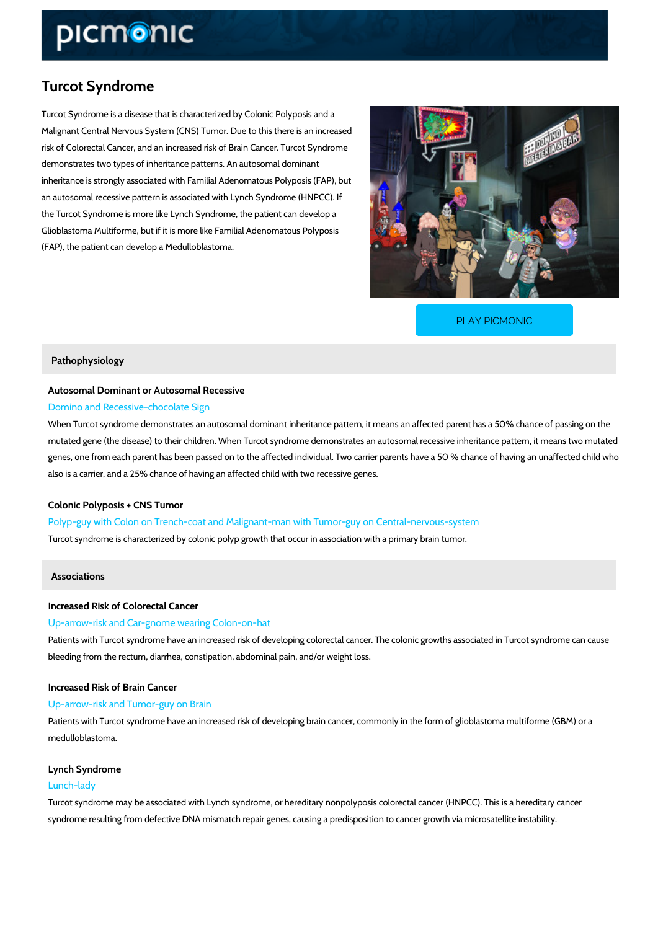# Turcot Syndrome

Turcot Syndrome is a disease that is characterized by Colonic Polyposis and a Malignant Central Nervous System (CNS) Tumor. Due to this there is an increased risk of Colorectal Cancer, and an increased risk of Brain Cancer. Turcot Syndrome demonstrates two types of inheritance patterns. An autosomal dominant inheritance is strongly associated with Familial Adenomatous Polyposis (FAP), but an autosomal recessive pattern is associated with Lynch Syndrome (HNPCC). If the Turcot Syndrome is more like Lynch Syndrome, the patient can develop a Glioblastoma Multiforme, but if it is more like Familial Adenomatous Polyposis (FAP), the patient can develop a Medulloblastoma.

[PLAY PICMONIC](https://www.picmonic.com/learn/turcot-syndrome_50354?utm_source=downloadable_content&utm_medium=distributedcontent&utm_campaign=pathways_pdf&utm_content=Turcot Syndrome&utm_ad_group=leads&utm_market=all)

## Pathophysiology

## Autosomal Dominant or Autosomal Recessive Domino and Recessive-chocolate Sign

When Turcot syndrome demonstrates an autosomal dominant inheritance pattern, it means an a mutated gene (the disease) to their children. When Turcot syndrome demonstrates an autosom genes, one from each parent has been passed on to the affected individual. Two carrier paren also is a carrier, and a 25% chance of having an affected child with two recessive genes.

## Colonic Polyposis + CNS Tumor

Polyp-guy with Colon on Trench-coat and Malignant-man with Tumor-guy on Central-ne Turcot syndrome is characterized by colonic polyp growth that occur in association with a prir

## Associations

## Increased Risk of Colorectal Cancer

## Up-arrow-risk and Car-gnome wearing Colon-on-hat

Patients with Turcot syndrome have an increased risk of developing colorectal cancer. The co bleeding from the rectum, diarrhea, constipation, abdominal pain, and/or weight loss.

Increased Risk of Brain Cancer Up-arrow-risk and Tumor-guy on Brain

Patients with Turcot syndrome have an increased risk of developing brain cancer, commonly in medulloblastoma.

# Lynch Syndrome

## Lunch-lady

Turcot syndrome may be associated with Lynch syndrome, or hereditary nonpolyposis colorect syndrome resulting from defective DNA mismatch repair genes, causing a predisposition to can